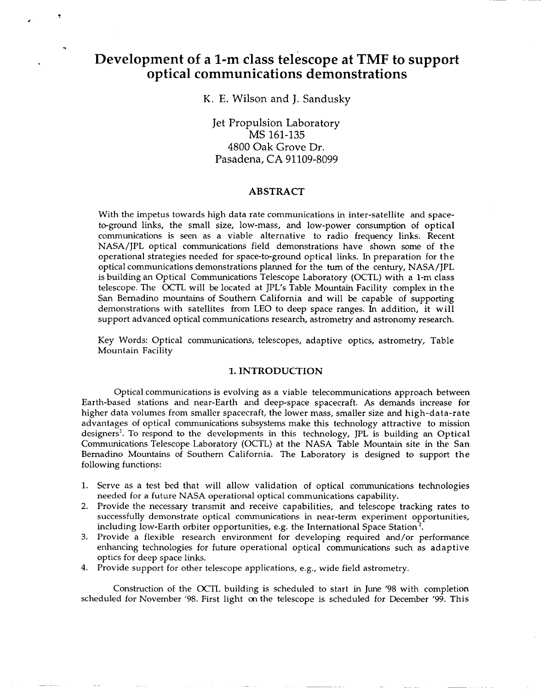# **Development of a l-m class telescope at TMF to support optical communications demonstrations**

"

K. E. Wilson and J. Sandusky

Jet Propulsion Laboratory MS 161-135 4800 Oak Grove Dr. Pasadena, CA 91109-8099

## **ABSTRACT**

With the impetus towards high data rate communications in inter-satellite and spaceto-ground links, the small size, low-mass, and low-power consumption of optical communications is seen as a viable alternative to radio frequency links. Recent NASA/JPL optical communications field demonstrations have shown some of the operational strategies needed for space-to-ground optical links. In preparation for the optical communications demonstrations planned for the turn of the century, NASA/JPL is building an Optical Communications Telescope Laboratory (OCTL) with a l-m class telescope. The OCTL will be located at JPL's Table Mountain Facility complex in the San Bemadino mountains of Southern California and will be capable of supporting demonstrations with satellites from LEO to deep space ranges. In addition, it will support advanced optical communications research, astrometry and astronomy research.

Key Words: Optical communications, telescopes, adaptive optics, astrometry, Table Mountain Facility

### **1. INTRODUCTION**

Optical communications is evolving as a viable telecommunications approach between Earth-based stations and near-Earth and deep-space spacecraft. As demands increase for higher data volumes from smaller spacecraft, the lower mass, smaller size and high-data-rate advantages of optical communications subsystems make this technology attractive to mission designers<sup>1</sup>. To respond to the developments in this technology, JPL is building an Optical Communications Telescope Laboratory (OCTL) at the NASA Table Mountain site in the San Bemadino Mountains of Southern California. The Laboratory is designed to support the following functions:

- 1. Serve as a test bed that will allow validation of optical communications technologies needed for a future NASA operational optical communications capability.
- 2. Provide the necessary transmit and receive capabilities, and telescope tracking rates to successfully demonstrate optical communications in near-term experiment opportunities, including low-Earth orbiter opportunities, e.g. the International Space Station<sup>2</sup>.
- 3. Provide a flexible research environment for developing required and/or performance enhancing technologies for future operational optical communications such as adaptive optics for deep space links.
- 4. Provide support for other telescope applications, e.g., wide field astrometry.

Construction of the OCTL building is scheduled to start in June '98 with completion scheduled for November '98. First light on the telescope is scheduled for December '99. This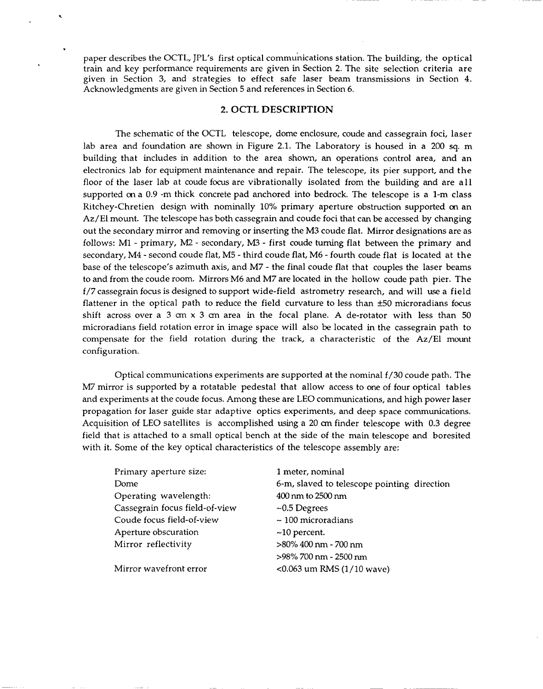paper describes the OCTL, JPL's first optical communications station. The building, the optical train and key performance requirements are given in Section 2. The site selection criteria are given in Section 3, and strategies to effect safe laser beam transmissions in Section 4. Acknowledgments are given in Section 5 and references in Section 6.

## 2. **OCTL DESCRIPTION**

The schematic of the OCTL telescope, dome enclosure, coude and cassegrain foci, laser lab area and foundation are shown in Figure 2.1. The Laboratory is housed in a 200 sq. m building that includes in addition to the area shown, an operations control area, and an electronics lab for equipment maintenance and repair. The telescope, its pier support, and the floor of the laser lab at coude focus are vibrationally isolated from the building and are all supported on a 0.9 -m thick concrete pad anchored into bedrock. The telescope is a l-m class Ritchey-Chretien design with nominally 10% primary aperture obstruction supported on an Az/El mount. The telescope has both cassegrain and coude foci that can be accessed by changing out the secondary mirror and removing or inserting the M3 coude flat. Mirror designations are as follows: Ml - primary, M2 - secondary, M3 - first coude turning flat between the primary and secondary, M4 - second coude flat, MS - third coude flat, M6 - fourth coude flat is located at the base of the telescope's azimuth axis, and M7 - the final coude flat that couples the laser beams to and from the coude room. Mirrors M6 and M7 are located in the hollow coude path pier. The f/7 cassegrain focus is designed to support wide-field astrometry research, and will use a field flattener in the optical path to reduce the field curvature to less than  $\pm 50$  microradians focus shift across over a 3 cm  $\times$  3 cm area in the focal plane. A de-rotator with less than 50 microradians field rotation error in image space will also be located in the cassegrain path to compensate for the field rotation during the track, a characteristic of the Az/El mount configuration.

Optical communications experiments are supported at the nominal f/30 coude path. The M7 mirror is supported by a rotatable pedestal that allow access to one of four optical tables and experiments at the coude focus. Among these are LEO communications, and high power laser propagation for laser guide star adaptive optics experiments, and deep space communications. Acquisition of LEO satellites is accomplished using a 20 cm finder telescope with 0.3 degree field that is attached to a small optical bench at the side of the main telescope and boresited with it. Some of the key optical characteristics of the telescope assembly are:

Primary aperture size: Dome Operating wavelength: Cassegrain focus field-of-view Coude focus field-of-view Aperture obscuration Mirror reflectivity

Mirror wavefront error

.

1 meter, nominal 6-m, slaved to telescope pointing direction 400 nm to 2500 nm -0.5 Degrees  $\sim$  100 microradians -10 percent. >80Y0 400 nm -700 nm >9870700 nrn -2500 nm <0.063 urn RMS (1/10 wave)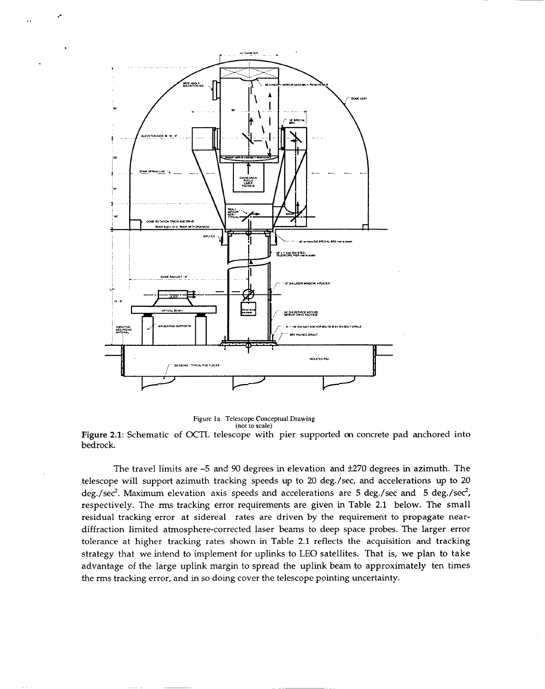

.

..

.,

Figure 1a. Telescope Conceptual Drawing  $(not to scale)$ 

Figure 2.1: Schematic of OCTL telescope with pier supported on concrete pad anchored into bedrock.

The travel limits are  $-5$  and 90 degrees in elevation and  $\pm 270$  degrees in azimuth. The telescope will support azimuth tracking speeds up to 20 deg./see, and accelerations up to 20 deg./sec<sup>2</sup>. Maximum elevation axis speeds and accelerations are 5 deg./sec and 5 deg./sec<sup>2</sup>, respectively. The rms tracking error requirements are given in Table 2.1 below. The small residual tracking error at sidereal rates are driven by the requirement to propagate neardiffraction limited atmosphere-corrected laser beams to deep space probes. The larger error tolerance at higher tracking rates shown in Table 2.1 reflects the acquisition and tracking strategy that we intend to implement for uplinks to LEO satellites. That is, we plan to take advantage of the large uplink margin to spread the uplink beam to approximately ten times the rms tracking error, and in so doing cover the telescope pointing uncertainty.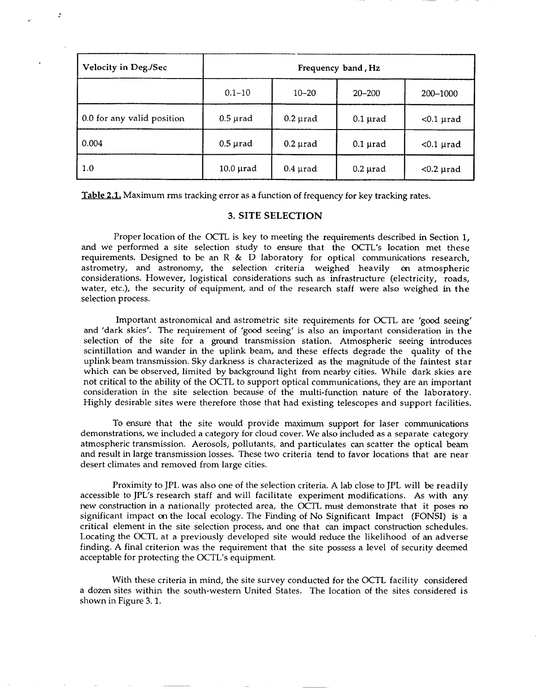| Velocity in Deg./Sec       | Frequency band, Hz |               |               |              |  |
|----------------------------|--------------------|---------------|---------------|--------------|--|
|                            | $0.1 - 10$         | $10 - 20$     | $20 - 200$    | 200-1000     |  |
| 0.0 for any valid position | $0.5 \mu$ rad      | $0.2 \mu rad$ | $0.1$ µrad    | $< 0.1$ µrad |  |
| 0.004                      | $0.5 \mu$ rad      | $0.2 \mu rad$ | $0.1 \mu$ rad | $< 0.1$ µrad |  |
| 1.0                        | $10.0 \mu rad$     | $0.4 \mu$ rad | $0.2 \mu rad$ | $< 0.2$ µrad |  |

Table 2.1. Maximum rms tracking error as a function of frequency for key tracking rates.

.'

.,

# **3. SITE SELECTION**

Proper location of the OCTL is key to meeting the requirements described in Section 1, and we performed a site selection study to ensure that the OCTL'S location met these requirements. Designed to be an R & D laboratory for optical communications research, astrometry, and astronomy, the selection criteria weighed heavily on atmospheric considerations. However, logistical considerations such as infrastructure (electricity, roads, water, etc.), the security of equipment, and of the research staff were also weighed in the selection process.

Important astronomical and astrometric site requirements for OCTL are 'good seeing' and 'dark skies'. The requirement of 'good seeing' is also an important consideration in the selection of the site for a ground transmission station. Atmospheric seeing introduces scintillation and wander in the uplink beam, and these effects degrade the quality of the uplink beam transmission. Sky darkness is characterized as the magnitude of the faintest star which can be observed, limited by background light from nearby cities. While dark skies are not critical to the ability of the OCTL to support optical communications, they are an important consideration in the site selection because of the multi-function nature of the laboratory. Highly desirable sites were therefore those that had existing telescopes and support facilities.

To ensure that the site would provide maximum support for laser communications demonstrations, we included a category for cloud cover. We also included as a separate category atmospheric transmission. Aerosols, pollutants, and particulates can scatter the optical beam and result in large transmission losses. These two criteria tend to favor locations that are near desert climates and removed from large cities.

Proximity to JPL was also one of the selection criteria. A lab close to JPL will be readily accessible to JPL's research staff and will facilitate experiment modifications. As with any new construction in a nationally protected area, the OCTL must demonstrate that it poses no significant impact cn the local ecology. The Finding of No Significant Impact (FONSI) is a critical element in the site selection process, and one that can impact construction schedules. Locating the OCTL at a previously developed site would reduce the likelihood of an adverse finding. A final criterion was the requirement that the site possess a level of security deemed acceptable for protecting the OCTL'S equipment.

With these criteria in mind, the site survey conducted for the OCTL facility considered a dozen sites within the south-western United States. The location of the sites considered is shown in Figure 3.1.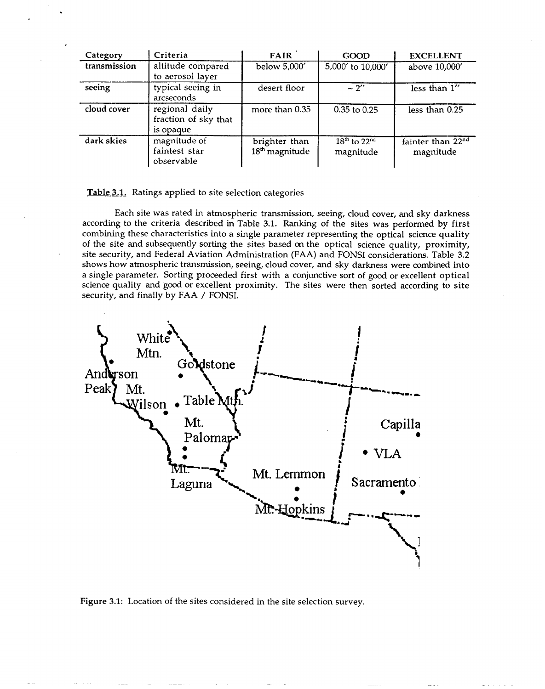| Category     | Criteria                                            | <b>FAIR</b>                       | <b>GOOD</b>                   | <b>EXCELLENT</b>               |
|--------------|-----------------------------------------------------|-----------------------------------|-------------------------------|--------------------------------|
| transmission | altitude compared<br>to aerosol layer               | below 5,000'                      | 5,000' to 10,000'             | above 10,000'                  |
| seeing       | typical seeing in<br>arcseconds                     | desert floor                      | $\sim$ 2"                     | less than 1"                   |
| cloud cover  | regional daily<br>fraction of sky that<br>is opaque | more than 0.35                    | $0.35$ to $0.25$              | less than 0.25                 |
| dark skies   | magnitude of<br>faintest star<br>observable         | brighter than<br>$18th$ magnitude | $18th$ to $22nd$<br>magnitude | fainter than 22nd<br>magnitude |

Table 3.1. Ratings applied to site selection categories

.

Each site was rated in atmospheric transmission, seeing, cloud cover, and sky darkness according to the criteria described in Table 3.1. Ranking of the sites was performed by first combining these characteristics into a single parameter representing the optical science quality of the site and subsequently sorting the sites based m the optical science quality, proximity, site security, and Federal Aviation Administration (FAA) and FONSI considerations. Table 3.2 shows how atmospheric transmission, seeing, cloud cover, and sky darkness were combined into a single parameter. Sorting proceeded first with a conjunctive sort of good or excellent optical science quality and good or excellent proximity. The sites were then sorted according to site security, and finally by FAA / FONSI.



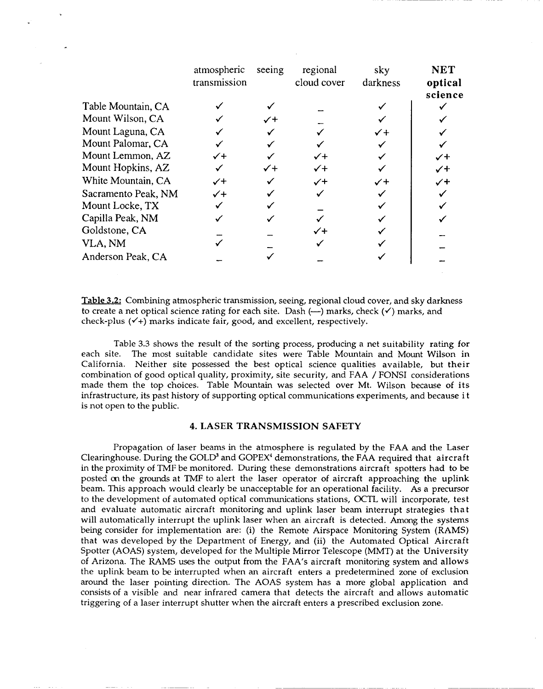|                     | atmospheric<br>transmission | seeing       | regional<br>cloud cover | sky<br>darkness | <b>NET</b><br>optical<br>science |
|---------------------|-----------------------------|--------------|-------------------------|-----------------|----------------------------------|
| Table Mountain, CA  |                             |              |                         |                 |                                  |
| Mount Wilson, CA    |                             | $\checkmark$ |                         |                 |                                  |
| Mount Laguna, CA    |                             |              |                         | $\checkmark$    |                                  |
| Mount Palomar, CA   |                             |              |                         |                 |                                  |
| Mount Lemmon, AZ    | $\checkmark$                |              | $\checkmark$            |                 | ン+                               |
| Mount Hopkins, AZ   | ✓                           | $\checkmark$ | $\checkmark$            |                 | ✓┽                               |
| White Mountain, CA  | $\checkmark$                |              | $\checkmark$            | $\checkmark$    | $\checkmark$                     |
| Sacramento Peak, NM | $\checkmark$                |              |                         |                 |                                  |
| Mount Locke, TX     | ✓                           |              |                         |                 |                                  |
| Capilla Peak, NM    | ✓                           |              |                         |                 |                                  |
| Goldstone, CA       |                             |              | $\checkmark$            |                 |                                  |
| VLA, NM             |                             |              |                         |                 |                                  |
| Anderson Peak, CA   |                             |              |                         |                 |                                  |

.

Table 3.2: Combining atmospheric transmission, seeing, regional cloud cover, and sky darkness to create a net optical science rating for each site. Dash  $(-)$  marks, check  $(\checkmark)$  marks, and check-plus  $(\checkmark+)$  marks indicate fair, good, and excellent, respectively.

Table 3.3 shows the result of the sorting process, producing a net suitability rating for each site. The most suitable candidate sites were Table Mountain and Mount Wilson in California. Neither site possessed the best optical science qualities available, but their combination of good optical quality, proximity, site security, and FAA / FONSI considerations made them the top choices. Table Mountain was selected over Mt. Wilson because of its infrastructure, its past history of supporting optical communications experiments, and because i t is not open to the public.

#### 4. **LASER TRANSMISSION SAFETY**

Propagation of laser beams in the atmosphere is regulated by the FAA and the Laser Clearinghouse. During the  $GOLD<sup>3</sup>$  and  $GOPEX<sup>4</sup>$  demonstrations, the FAA required that aircraft in the proximity of TMF be monitored. During these demonstrations aircraft spotters had to be posted on the grounds at TMF to alert the laser operator of aircraft approaching the uplink beam. This approach would clearly be unacceptable for an operational facility. As a precursor to the development of automated optical communications stations, OCTL will incorporate, test and evaluate automatic aircraft monitoring and uplink laser beam interrupt strategies that will automatically interrupt the uplink laser when an aircraft is detected. Among the systems being consider for implementation are: (i) the Remote Airspace Monitoring System (RAMS) that was developed by the Department of Energy, and (ii) the Automated Optical Aircraft Spotter (AOAS) system, developed for the Multiple Mirror Telescope (MMT) at the University of Arizona. The RAMS uses the output from the FAA's aircraft monitoring system and allows the uplink beam to be interrupted when an aircraft enters a predetermined zone of exclusion around the laser pointing direction. The AOAS system has a more global application and consists of a visible and near infrared camera that detects the aircraft and allows automatic triggering of a laser interrupt shutter when the aircraft enters a prescribed exclusion zone.